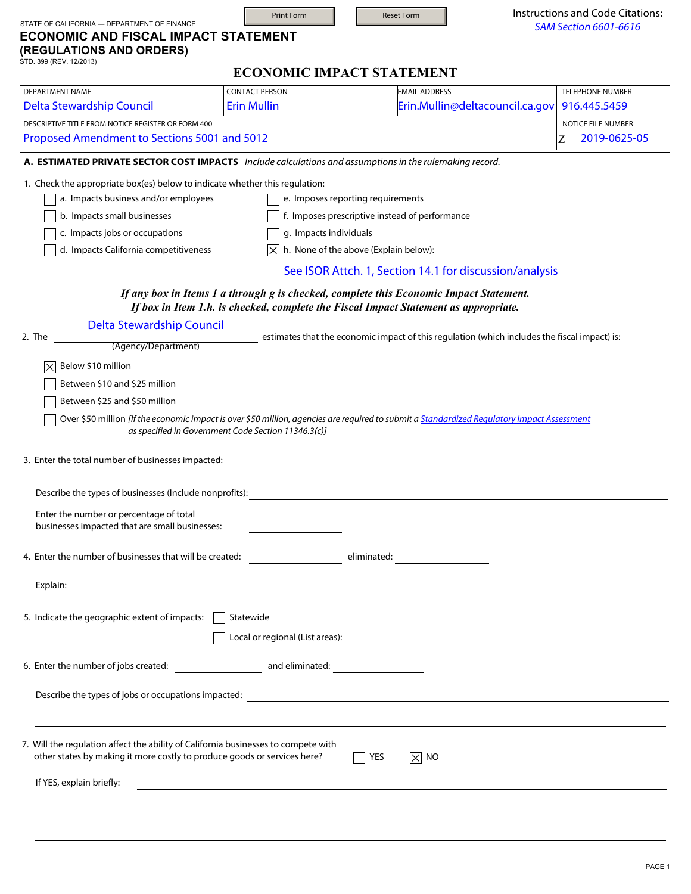| STATE OF CALIFORNIA - DEPARTMENT OF FINANCE                                                                                                                                                                                   | <b>Print Form</b>                                   | <b>Reset Form</b>                                                                                                                                                                       | Instructions and Code Citations:               |
|-------------------------------------------------------------------------------------------------------------------------------------------------------------------------------------------------------------------------------|-----------------------------------------------------|-----------------------------------------------------------------------------------------------------------------------------------------------------------------------------------------|------------------------------------------------|
| <b>ECONOMIC AND FISCAL IMPACT STATEMENT</b><br>(REGULATIONS AND ORDERS)<br>STD. 399 (REV. 12/2013)                                                                                                                            |                                                     |                                                                                                                                                                                         | <b>SAM Section 6601-6616</b>                   |
|                                                                                                                                                                                                                               |                                                     | <b>ECONOMIC IMPACT STATEMENT</b>                                                                                                                                                        |                                                |
| <b>DEPARTMENT NAME</b>                                                                                                                                                                                                        | <b>CONTACT PERSON</b>                               | <b>EMAIL ADDRESS</b>                                                                                                                                                                    | <b>TELEPHONE NUMBER</b>                        |
| <b>Delta Stewardship Council</b>                                                                                                                                                                                              | <b>Erin Mullin</b>                                  | Erin.Mullin@deltacouncil.ca.gov                                                                                                                                                         | 916.445.5459                                   |
| DESCRIPTIVE TITLE FROM NOTICE REGISTER OR FORM 400<br>Proposed Amendment to Sections 5001 and 5012                                                                                                                            |                                                     |                                                                                                                                                                                         | <b>NOTICE FILE NUMBER</b><br>2019-0625-05<br>Z |
| A. ESTIMATED PRIVATE SECTOR COST IMPACTS Include calculations and assumptions in the rulemaking record.                                                                                                                       |                                                     |                                                                                                                                                                                         |                                                |
| 1. Check the appropriate box(es) below to indicate whether this regulation:<br>a. Impacts business and/or employees<br>b. Impacts small businesses<br>c. Impacts jobs or occupations<br>d. Impacts California competitiveness | g. Impacts individuals                              | e. Imposes reporting requirements<br>f. Imposes prescriptive instead of performance<br>h. None of the above (Explain below):<br>See ISOR Attch. 1, Section 14.1 for discussion/analysis |                                                |
|                                                                                                                                                                                                                               |                                                     |                                                                                                                                                                                         |                                                |
|                                                                                                                                                                                                                               |                                                     | If any box in Items 1 a through g is checked, complete this Economic Impact Statement.<br>If box in Item 1.h. is checked, complete the Fiscal Impact Statement as appropriate.          |                                                |
| <b>Delta Stewardship Council</b>                                                                                                                                                                                              |                                                     |                                                                                                                                                                                         |                                                |
| 2. The                                                                                                                                                                                                                        |                                                     | estimates that the economic impact of this regulation (which includes the fiscal impact) is:                                                                                            |                                                |
| (Agency/Department)                                                                                                                                                                                                           |                                                     |                                                                                                                                                                                         |                                                |
| Below \$10 million<br>$\left \times\right $                                                                                                                                                                                   |                                                     |                                                                                                                                                                                         |                                                |
| Between \$10 and \$25 million                                                                                                                                                                                                 |                                                     |                                                                                                                                                                                         |                                                |
| Between \$25 and \$50 million                                                                                                                                                                                                 |                                                     |                                                                                                                                                                                         |                                                |
|                                                                                                                                                                                                                               | as specified in Government Code Section 11346.3(c)] | Over \$50 million [If the economic impact is over \$50 million, agencies are required to submit a Standardized Regulatory Impact Assessment                                             |                                                |
|                                                                                                                                                                                                                               |                                                     |                                                                                                                                                                                         |                                                |
| 3. Enter the total number of businesses impacted:                                                                                                                                                                             |                                                     |                                                                                                                                                                                         |                                                |
|                                                                                                                                                                                                                               |                                                     |                                                                                                                                                                                         |                                                |
| Describe the types of businesses (Include nonprofits):                                                                                                                                                                        |                                                     |                                                                                                                                                                                         |                                                |
| Enter the number or percentage of total<br>businesses impacted that are small businesses:                                                                                                                                     |                                                     |                                                                                                                                                                                         |                                                |
| 4. Enter the number of businesses that will be created: entertainment of eliminated:                                                                                                                                          |                                                     |                                                                                                                                                                                         |                                                |
|                                                                                                                                                                                                                               |                                                     |                                                                                                                                                                                         |                                                |
|                                                                                                                                                                                                                               |                                                     |                                                                                                                                                                                         |                                                |
| 5. Indicate the geographic extent of impacts:                                                                                                                                                                                 | Statewide                                           |                                                                                                                                                                                         |                                                |
|                                                                                                                                                                                                                               |                                                     |                                                                                                                                                                                         |                                                |
|                                                                                                                                                                                                                               |                                                     | Describe the types of jobs or occupations impacted: _____________________________                                                                                                       |                                                |
| 7. Will the regulation affect the ability of California businesses to compete with<br>other states by making it more costly to produce goods or services here?                                                                |                                                     | YES<br>$\boxed{\times}$ No                                                                                                                                                              |                                                |
| If YES, explain briefly:                                                                                                                                                                                                      |                                                     | ,我们也不会有什么。""我们的人,我们也不会有什么?""我们的人,我们也不会有什么?""我们的人,我们也不会有什么?""我们的人,我们也不会有什么?""我们的人                                                                                                        |                                                |
|                                                                                                                                                                                                                               |                                                     |                                                                                                                                                                                         |                                                |
|                                                                                                                                                                                                                               |                                                     |                                                                                                                                                                                         |                                                |
|                                                                                                                                                                                                                               |                                                     |                                                                                                                                                                                         |                                                |
|                                                                                                                                                                                                                               |                                                     |                                                                                                                                                                                         |                                                |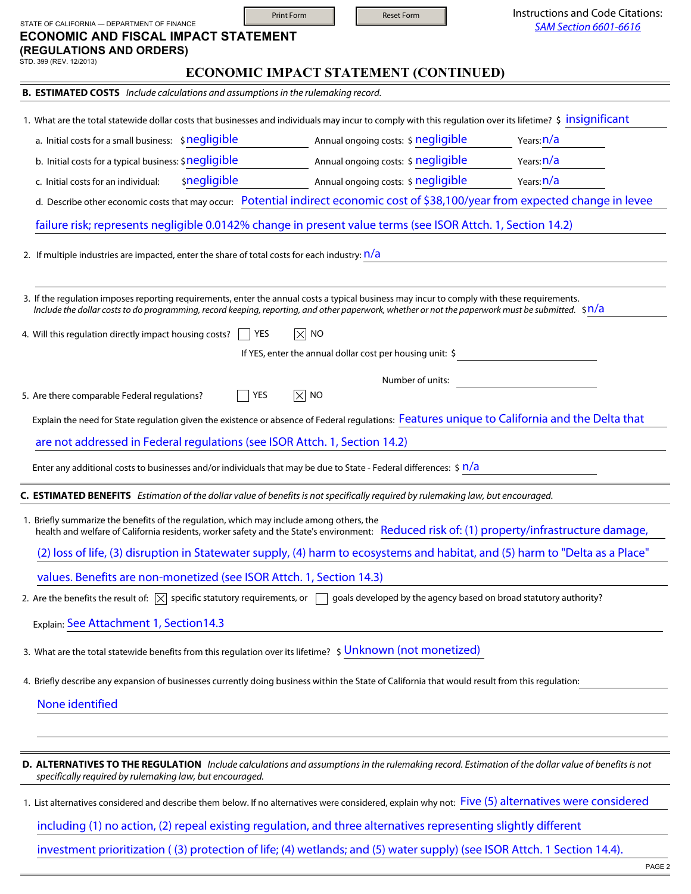| STATE OF CALIFORNIA - DEPARTMENT OF FINANCE                                                                                                                                                                                                                                                              | <b>Print Form</b>                     | <b>Reset Form</b>                   | Instructions and Code Citations:<br><b>SAM Section 6601-6616</b>                                                                 |
|----------------------------------------------------------------------------------------------------------------------------------------------------------------------------------------------------------------------------------------------------------------------------------------------------------|---------------------------------------|-------------------------------------|----------------------------------------------------------------------------------------------------------------------------------|
| <b>ECONOMIC AND FISCAL IMPACT STATEMENT</b><br>(REGULATIONS AND ORDERS)<br>STD. 399 (REV. 12/2013)                                                                                                                                                                                                       |                                       |                                     |                                                                                                                                  |
|                                                                                                                                                                                                                                                                                                          | ECONOMIC IMPACT STATEMENT (CONTINUED) |                                     |                                                                                                                                  |
| <b>B. ESTIMATED COSTS</b> Include calculations and assumptions in the rulemaking record.                                                                                                                                                                                                                 |                                       |                                     |                                                                                                                                  |
| 1. What are the total statewide dollar costs that businesses and individuals may incur to comply with this regulation over its lifetime? \$ insignificant                                                                                                                                                |                                       |                                     |                                                                                                                                  |
| a. Initial costs for a small business: \$negligible                                                                                                                                                                                                                                                      |                                       | Annual ongoing costs: \$ negligible | Years: <b>n/a</b>                                                                                                                |
| b. Initial costs for a typical business: \$negligible                                                                                                                                                                                                                                                    |                                       | Annual ongoing costs: \$ negligible | Years: <b>n/a</b>                                                                                                                |
| snegligible<br>c. Initial costs for an individual:                                                                                                                                                                                                                                                       |                                       | Annual ongoing costs: \$ negligible | Years: <b>n/a</b>                                                                                                                |
|                                                                                                                                                                                                                                                                                                          |                                       |                                     | d. Describe other economic costs that may occur: Potential indirect economic cost of \$38,100/year from expected change in levee |
| failure risk; represents negligible 0.0142% change in present value terms (see ISOR Attch. 1, Section 14.2)                                                                                                                                                                                              |                                       |                                     |                                                                                                                                  |
| 2. If multiple industries are impacted, enter the share of total costs for each industry: $n/a$                                                                                                                                                                                                          |                                       |                                     |                                                                                                                                  |
| 3. If the regulation imposes reporting requirements, enter the annual costs a typical business may incur to comply with these requirements.<br>Include the dollar costs to do programming, record keeping, reporting, and other paperwork, whether or not the paperwork must be submitted. $\sin/\alpha$ |                                       |                                     |                                                                                                                                  |
| 4. Will this regulation directly impact housing costs?                                                                                                                                                                                                                                                   | $\boxed{\times}$ NO<br>  YES          |                                     |                                                                                                                                  |
|                                                                                                                                                                                                                                                                                                          |                                       |                                     | If YES, enter the annual dollar cost per housing unit: \$                                                                        |
|                                                                                                                                                                                                                                                                                                          |                                       | Number of units:                    |                                                                                                                                  |
| 5. Are there comparable Federal regulations?                                                                                                                                                                                                                                                             | $ \times $ NO<br>YES                  |                                     |                                                                                                                                  |
| Explain the need for State regulation given the existence or absence of Federal regulations: Features unique to California and the Delta that                                                                                                                                                            |                                       |                                     |                                                                                                                                  |
| are not addressed in Federal regulations (see ISOR Attch. 1, Section 14.2)                                                                                                                                                                                                                               |                                       |                                     |                                                                                                                                  |
| Enter any additional costs to businesses and/or individuals that may be due to State - Federal differences: $\sin/a$                                                                                                                                                                                     |                                       |                                     |                                                                                                                                  |
| <b>ESTIMATED BENEFITS</b> Estimation of the dollar value of benefits is not specifically required by rulemaking law, but encouraged.                                                                                                                                                                     |                                       |                                     |                                                                                                                                  |
| 1. Briefly summarize the benefits of the regulation, which may include among others, the<br>health and welfare of California residents, worker safety and the State's environment: Reduced risk of: (1) property/infrastructure damage,                                                                  |                                       |                                     |                                                                                                                                  |
|                                                                                                                                                                                                                                                                                                          |                                       |                                     | (2) loss of life, (3) disruption in Statewater supply, (4) harm to ecosystems and habitat, and (5) harm to "Delta as a Place"    |
| values. Benefits are non-monetized (see ISOR Attch. 1, Section 14.3)                                                                                                                                                                                                                                     |                                       |                                     |                                                                                                                                  |
| 2. Are the benefits the result of: $\boxed{\times}$ specific statutory requirements, or $\boxed{\phantom{a}}$ goals developed by the agency based on broad statutory authority?                                                                                                                          |                                       |                                     |                                                                                                                                  |
| Explain: See Attachment 1, Section14.3                                                                                                                                                                                                                                                                   |                                       |                                     |                                                                                                                                  |
| 3. What are the total statewide benefits from this regulation over its lifetime? \$ Unknown (not monetized)                                                                                                                                                                                              |                                       |                                     |                                                                                                                                  |
| 4. Briefly describe any expansion of businesses currently doing business within the State of California that would result from this regulation:                                                                                                                                                          |                                       |                                     |                                                                                                                                  |
| None identified                                                                                                                                                                                                                                                                                          |                                       |                                     |                                                                                                                                  |
|                                                                                                                                                                                                                                                                                                          |                                       |                                     |                                                                                                                                  |
| D. ALTERNATIVES TO THE REGULATION Include calculations and assumptions in the rulemaking record. Estimation of the dollar value of benefits is not<br>specifically required by rulemaking law, but encouraged.                                                                                           |                                       |                                     |                                                                                                                                  |
| 1. List alternatives considered and describe them below. If no alternatives were considered, explain why not: Five (5) alternatives were considered                                                                                                                                                      |                                       |                                     |                                                                                                                                  |
| including (1) no action, (2) repeal existing regulation, and three alternatives representing slightly different                                                                                                                                                                                          |                                       |                                     |                                                                                                                                  |
| investment prioritization ((3) protection of life; (4) wetlands; and (5) water supply) (see ISOR Attch. 1 Section 14.4).                                                                                                                                                                                 |                                       |                                     |                                                                                                                                  |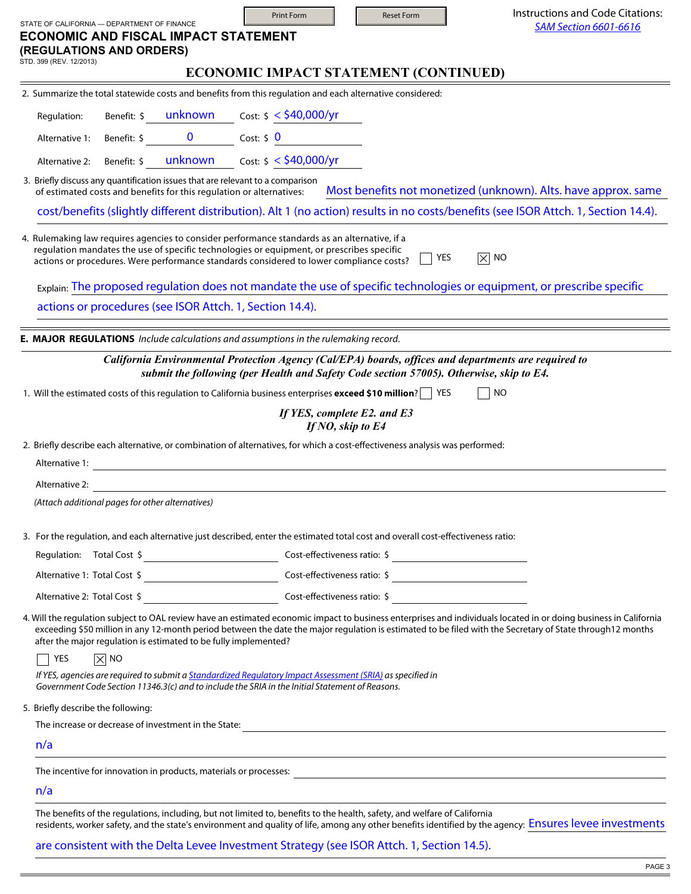| <b>SAM Section 6601-6616</b><br>ECONOMIC IMPACT STATEMENT (CONTINUED)<br>2. Summarize the total statewide costs and benefits from this regulation and each alternative considered:<br>Cost: \$ < <b>\$40,000/yr</b><br>Benefit: \$ unknown    cost: \$ < \$40,000/yr<br>3. Briefly discuss any quantification issues that are relevant to a comparison<br>Most benefits not monetized (unknown). Alts. have approx. same<br>of estimated costs and benefits for this regulation or alternatives:<br>cost/benefits (slightly different distribution). Alt 1 (no action) results in no costs/benefits (see ISOR Attch. 1, Section 14.4).<br>4. Rulemaking law requires agencies to consider performance standards as an alternative, if a<br>regulation mandates the use of specific technologies or equipment, or prescribes specific<br>$ \overline{\times} $ NO<br>YES<br>actions or procedures. Were performance standards considered to lower compliance costs? |
|--------------------------------------------------------------------------------------------------------------------------------------------------------------------------------------------------------------------------------------------------------------------------------------------------------------------------------------------------------------------------------------------------------------------------------------------------------------------------------------------------------------------------------------------------------------------------------------------------------------------------------------------------------------------------------------------------------------------------------------------------------------------------------------------------------------------------------------------------------------------------------------------------------------------------------------------------------------------|
|                                                                                                                                                                                                                                                                                                                                                                                                                                                                                                                                                                                                                                                                                                                                                                                                                                                                                                                                                                    |
|                                                                                                                                                                                                                                                                                                                                                                                                                                                                                                                                                                                                                                                                                                                                                                                                                                                                                                                                                                    |
|                                                                                                                                                                                                                                                                                                                                                                                                                                                                                                                                                                                                                                                                                                                                                                                                                                                                                                                                                                    |
|                                                                                                                                                                                                                                                                                                                                                                                                                                                                                                                                                                                                                                                                                                                                                                                                                                                                                                                                                                    |
|                                                                                                                                                                                                                                                                                                                                                                                                                                                                                                                                                                                                                                                                                                                                                                                                                                                                                                                                                                    |
|                                                                                                                                                                                                                                                                                                                                                                                                                                                                                                                                                                                                                                                                                                                                                                                                                                                                                                                                                                    |
|                                                                                                                                                                                                                                                                                                                                                                                                                                                                                                                                                                                                                                                                                                                                                                                                                                                                                                                                                                    |
|                                                                                                                                                                                                                                                                                                                                                                                                                                                                                                                                                                                                                                                                                                                                                                                                                                                                                                                                                                    |
|                                                                                                                                                                                                                                                                                                                                                                                                                                                                                                                                                                                                                                                                                                                                                                                                                                                                                                                                                                    |
|                                                                                                                                                                                                                                                                                                                                                                                                                                                                                                                                                                                                                                                                                                                                                                                                                                                                                                                                                                    |
| Explain: The proposed regulation does not mandate the use of specific technologies or equipment, or prescribe specific                                                                                                                                                                                                                                                                                                                                                                                                                                                                                                                                                                                                                                                                                                                                                                                                                                             |
| actions or procedures (see ISOR Attch. 1, Section 14.4).                                                                                                                                                                                                                                                                                                                                                                                                                                                                                                                                                                                                                                                                                                                                                                                                                                                                                                           |
|                                                                                                                                                                                                                                                                                                                                                                                                                                                                                                                                                                                                                                                                                                                                                                                                                                                                                                                                                                    |
| E. MAJOR REGULATIONS Include calculations and assumptions in the rulemaking record.                                                                                                                                                                                                                                                                                                                                                                                                                                                                                                                                                                                                                                                                                                                                                                                                                                                                                |
| California Environmental Protection Agency (Cal/EPA) boards, offices and departments are required to<br>submit the following (per Health and Safety Code section 57005). Otherwise, skip to E4.                                                                                                                                                                                                                                                                                                                                                                                                                                                                                                                                                                                                                                                                                                                                                                    |
| <b>NO</b><br>1. Will the estimated costs of this regulation to California business enterprises exceed \$10 million?   YES                                                                                                                                                                                                                                                                                                                                                                                                                                                                                                                                                                                                                                                                                                                                                                                                                                          |
| If YES, complete E2. and E3                                                                                                                                                                                                                                                                                                                                                                                                                                                                                                                                                                                                                                                                                                                                                                                                                                                                                                                                        |
| If NO, skip to E4                                                                                                                                                                                                                                                                                                                                                                                                                                                                                                                                                                                                                                                                                                                                                                                                                                                                                                                                                  |
| 2. Briefly describe each alternative, or combination of alternatives, for which a cost-effectiveness analysis was performed:                                                                                                                                                                                                                                                                                                                                                                                                                                                                                                                                                                                                                                                                                                                                                                                                                                       |
| <u> 1989 - Johann Stoff, deutscher Stoffen und der Stoffen und der Stoffen und der Stoffen und der Stoffen und de</u>                                                                                                                                                                                                                                                                                                                                                                                                                                                                                                                                                                                                                                                                                                                                                                                                                                              |
|                                                                                                                                                                                                                                                                                                                                                                                                                                                                                                                                                                                                                                                                                                                                                                                                                                                                                                                                                                    |
|                                                                                                                                                                                                                                                                                                                                                                                                                                                                                                                                                                                                                                                                                                                                                                                                                                                                                                                                                                    |
| 3. For the regulation, and each alternative just described, enter the estimated total cost and overall cost-effectiveness ratio:                                                                                                                                                                                                                                                                                                                                                                                                                                                                                                                                                                                                                                                                                                                                                                                                                                   |
|                                                                                                                                                                                                                                                                                                                                                                                                                                                                                                                                                                                                                                                                                                                                                                                                                                                                                                                                                                    |
|                                                                                                                                                                                                                                                                                                                                                                                                                                                                                                                                                                                                                                                                                                                                                                                                                                                                                                                                                                    |
|                                                                                                                                                                                                                                                                                                                                                                                                                                                                                                                                                                                                                                                                                                                                                                                                                                                                                                                                                                    |
| 4. Will the regulation subject to OAL review have an estimated economic impact to business enterprises and individuals located in or doing business in California<br>exceeding \$50 million in any 12-month period between the date the major regulation is estimated to be filed with the Secretary of State through 12 months                                                                                                                                                                                                                                                                                                                                                                                                                                                                                                                                                                                                                                    |
|                                                                                                                                                                                                                                                                                                                                                                                                                                                                                                                                                                                                                                                                                                                                                                                                                                                                                                                                                                    |
|                                                                                                                                                                                                                                                                                                                                                                                                                                                                                                                                                                                                                                                                                                                                                                                                                                                                                                                                                                    |
| If YES, agencies are required to submit a <i>Standardized Requlatory Impact Assessment (SRIA)</i> as specified in<br>Government Code Section 11346.3(c) and to include the SRIA in the Initial Statement of Reasons.                                                                                                                                                                                                                                                                                                                                                                                                                                                                                                                                                                                                                                                                                                                                               |
|                                                                                                                                                                                                                                                                                                                                                                                                                                                                                                                                                                                                                                                                                                                                                                                                                                                                                                                                                                    |
| The increase or decrease of investment in the State:<br><u> and the increase or decrease of investment in the State:</u>                                                                                                                                                                                                                                                                                                                                                                                                                                                                                                                                                                                                                                                                                                                                                                                                                                           |
| ,我们也不会有什么。""我们的人,我们也不会有什么?""我们的人,我们也不会有什么?""我们的人,我们也不会有什么?""我们的人,我们也不会有什么?""我们的人                                                                                                                                                                                                                                                                                                                                                                                                                                                                                                                                                                                                                                                                                                                                                                                                                                                                                   |
|                                                                                                                                                                                                                                                                                                                                                                                                                                                                                                                                                                                                                                                                                                                                                                                                                                                                                                                                                                    |
|                                                                                                                                                                                                                                                                                                                                                                                                                                                                                                                                                                                                                                                                                                                                                                                                                                                                                                                                                                    |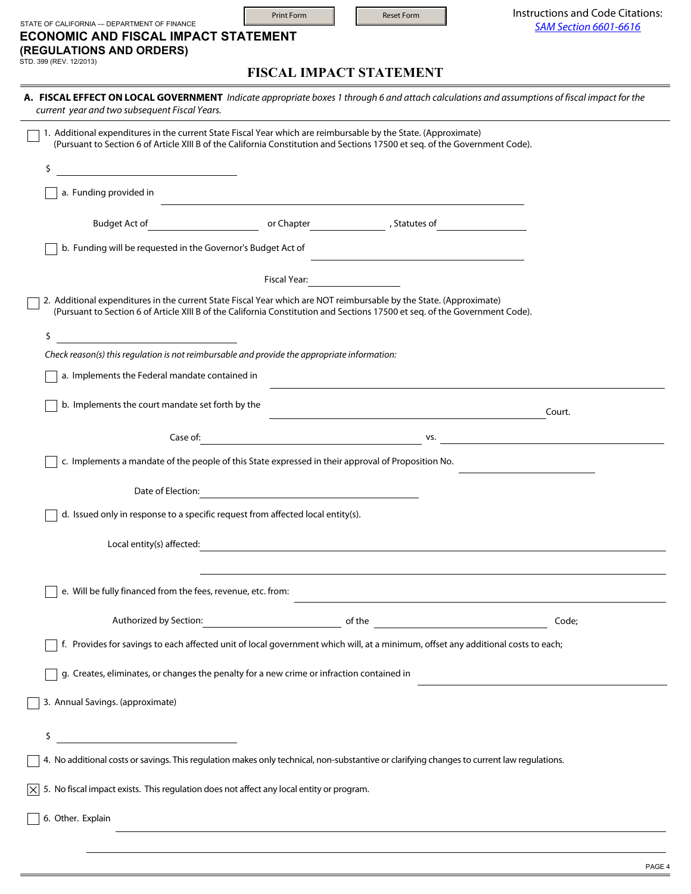| STATE OF CALIFORNIA - DEPARTMENT OF FINANCE<br><b>ECONOMIC AND FISCAL IMPACT STATEMENT</b><br>(REGULATIONS AND ORDERS)                                                                                                                        | <b>Print Form</b>                                         | <b>Reset Form</b>                                                                                                     | Instructions and Code Citations:<br><b>SAM Section 6601-6616</b> |
|-----------------------------------------------------------------------------------------------------------------------------------------------------------------------------------------------------------------------------------------------|-----------------------------------------------------------|-----------------------------------------------------------------------------------------------------------------------|------------------------------------------------------------------|
| STD. 399 (REV. 12/2013)                                                                                                                                                                                                                       |                                                           | <b>FISCAL IMPACT STATEMENT</b>                                                                                        |                                                                  |
| A. FISCAL EFFECT ON LOCAL GOVERNMENT Indicate appropriate boxes 1 through 6 and attach calculations and assumptions of fiscal impact for the<br>current year and two subsequent Fiscal Years.                                                 |                                                           |                                                                                                                       |                                                                  |
| 1. Additional expenditures in the current State Fiscal Year which are reimbursable by the State. (Approximate)<br>(Pursuant to Section 6 of Article XIII B of the California Constitution and Sections 17500 et seq. of the Government Code). |                                                           |                                                                                                                       |                                                                  |
| Ś<br><u> 1990 - Johann Barn, mars ann an t-Amhair ann an t-A</u>                                                                                                                                                                              |                                                           |                                                                                                                       |                                                                  |
| a. Funding provided in                                                                                                                                                                                                                        |                                                           |                                                                                                                       |                                                                  |
| Budget Act of                                                                                                                                                                                                                                 |                                                           | or Chapter The Chapter Statutes of                                                                                    |                                                                  |
| b. Funding will be requested in the Governor's Budget Act of                                                                                                                                                                                  |                                                           |                                                                                                                       |                                                                  |
|                                                                                                                                                                                                                                               | Fiscal Year:                                              |                                                                                                                       |                                                                  |
| 2. Additional expenditures in the current State Fiscal Year which are NOT reimbursable by the State. (Approximate)                                                                                                                            |                                                           |                                                                                                                       |                                                                  |
| (Pursuant to Section 6 of Article XIII B of the California Constitution and Sections 17500 et seq. of the Government Code).                                                                                                                   |                                                           |                                                                                                                       |                                                                  |
| \$<br>Check reason(s) this regulation is not reimbursable and provide the appropriate information:                                                                                                                                            |                                                           |                                                                                                                       |                                                                  |
| a. Implements the Federal mandate contained in                                                                                                                                                                                                |                                                           |                                                                                                                       |                                                                  |
| b. Implements the court mandate set forth by the                                                                                                                                                                                              |                                                           |                                                                                                                       |                                                                  |
|                                                                                                                                                                                                                                               |                                                           |                                                                                                                       | Court.                                                           |
| Case of:                                                                                                                                                                                                                                      | <u> 1989 - Johann Barn, mars eta bainar eta idazlea (</u> | VS.                                                                                                                   |                                                                  |
| c. Implements a mandate of the people of this State expressed in their approval of Proposition No.                                                                                                                                            |                                                           |                                                                                                                       |                                                                  |
| Date of Election:                                                                                                                                                                                                                             |                                                           |                                                                                                                       |                                                                  |
| d. Issued only in response to a specific request from affected local entity(s).                                                                                                                                                               |                                                           |                                                                                                                       |                                                                  |
| Local entity(s) affected:                                                                                                                                                                                                                     |                                                           | <u> 1989 - Andrea Station Barbara, actor a component de la componentación de la componentación de la componentaci</u> |                                                                  |
|                                                                                                                                                                                                                                               |                                                           |                                                                                                                       |                                                                  |
| e. Will be fully financed from the fees, revenue, etc. from:                                                                                                                                                                                  |                                                           |                                                                                                                       |                                                                  |
|                                                                                                                                                                                                                                               |                                                           |                                                                                                                       | Code;                                                            |
| f. Provides for savings to each affected unit of local government which will, at a minimum, offset any additional costs to each;                                                                                                              |                                                           |                                                                                                                       |                                                                  |
| g. Creates, eliminates, or changes the penalty for a new crime or infraction contained in                                                                                                                                                     |                                                           |                                                                                                                       |                                                                  |
| 3. Annual Savings. (approximate)                                                                                                                                                                                                              |                                                           |                                                                                                                       |                                                                  |
| <u> 1980 - Johann Barbara, martxa a</u><br>\$                                                                                                                                                                                                 |                                                           |                                                                                                                       |                                                                  |
| 4. No additional costs or savings. This regulation makes only technical, non-substantive or clarifying changes to current law regulations.                                                                                                    |                                                           |                                                                                                                       |                                                                  |
| 5. No fiscal impact exists. This regulation does not affect any local entity or program.<br>$\times$                                                                                                                                          |                                                           |                                                                                                                       |                                                                  |
| 6. Other. Explain                                                                                                                                                                                                                             |                                                           |                                                                                                                       |                                                                  |